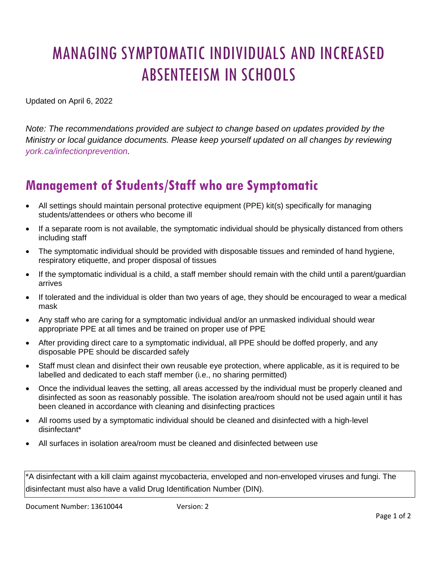# MANAGING SYMPTOMATIC INDIVIDUALS AND INCREASED ABSENTEEISM IN SCHOOLS

Updated on April 6, 2022

*Note: The recommendations provided are subject to change based on updates provided by the Ministry or local guidance documents. Please keep yourself updated on all changes by reviewing [york.ca/infectionprevention.](https://www.york.ca/health/infectious-diseases-and-prevention)* 

## **Management of Students/Staff who are Symptomatic**

- All settings should maintain personal protective equipment (PPE) kit(s) specifically for managing students/attendees or others who become ill
- If a separate room is not available, the symptomatic individual should be physically distanced from others including staff
- The symptomatic individual should be provided with disposable tissues and reminded of hand hygiene, respiratory etiquette, and proper disposal of tissues
- If the symptomatic individual is a child, a staff member should remain with the child until a parent/guardian arrives
- If tolerated and the individual is older than two years of age, they should be encouraged to wear a medical mask
- Any staff who are caring for a symptomatic individual and/or an unmasked individual should wear appropriate PPE at all times and be trained on proper use of PPE
- After providing direct care to a symptomatic individual, all PPE should be doffed properly, and any disposable PPE should be discarded safely
- Staff must clean and disinfect their own reusable eye protection, where applicable, as it is required to be labelled and dedicated to each staff member (i.e., no sharing permitted)
- Once the individual leaves the setting, all areas accessed by the individual must be properly cleaned and disinfected as soon as reasonably possible. The isolation area/room should not be used again until it has been cleaned in accordance with cleaning and disinfecting practices
- All rooms used by a symptomatic individual should be cleaned and disinfected with a high-level disinfectant\*
- All surfaces in isolation area/room must be cleaned and disinfected between use

\*A disinfectant with a kill claim against mycobacteria, enveloped and non-enveloped viruses and fungi. The disinfectant must also have a valid Drug Identification Number (DIN).

Document Number: 13610044 Version: 2